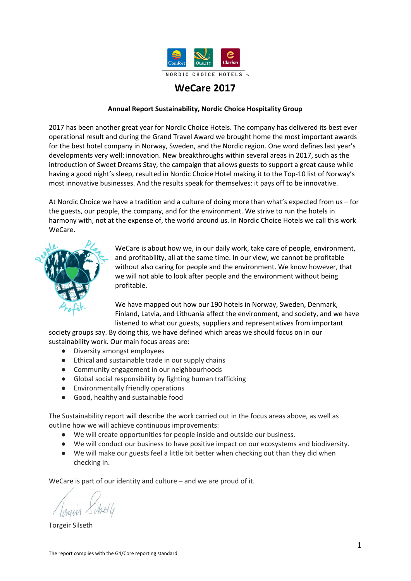

# **WeCare 2017**

## **Annual Report Sustainability, Nordic Choice Hospitality Group**

2017 has been another great year for Nordic Choice Hotels. The company has delivered its best ever operational result and during the Grand Travel Award we brought home the most important awards for the best hotel company in Norway, Sweden, and the Nordic region. One word defines last year's developments very well: innovation. New breakthroughs within several areas in 2017, such as the introduction of Sweet Dreams Stay, the campaign that allows guests to support a great cause while having a good night's sleep, resulted in Nordic Choice Hotel making it to the Top-10 list of Norway's most innovative businesses. And the results speak for themselves: it pays off to be innovative.

At Nordic Choice we have a tradition and a culture of doing more than what's expected from us – for the guests, our people, the company, and for the environment. We strive to run the hotels in harmony with, not at the expense of, the world around us. In Nordic Choice Hotels we call this work WeCare.



WeCare is about how we, in our daily work, take care of people, environment, and profitability, all at the same time. In our view, we cannot be profitable without also caring for people and the environment. We know however, that we will not able to look after people and the environment without being profitable.

We have mapped out how our 190 hotels in Norway, Sweden, Denmark, Finland, Latvia, and Lithuania affect the environment, and society, and we have listened to what our guests, suppliers and representatives from important

society groups say. By doing this, we have defined which areas we should focus on in our sustainability work. Our main focus areas are:

- Diversity amongst employees
- Ethical and sustainable trade in our supply chains
- Community engagement in our neighbourhoods
- Global social responsibility by fighting human trafficking
- Environmentally friendly operations
- Good, healthy and sustainable food

The Sustainability report will describe the work carried out in the focus areas above, as well as outline how we will achieve continuous improvements:

- We will create opportunities for people inside and outside our business.
- We will conduct our business to have positive impact on our ecosystems and biodiversity.
- We will make our guests feel a little bit better when checking out than they did when checking in.

WeCare is part of our identity and culture – and we are proud of it.

Torgeir Silseth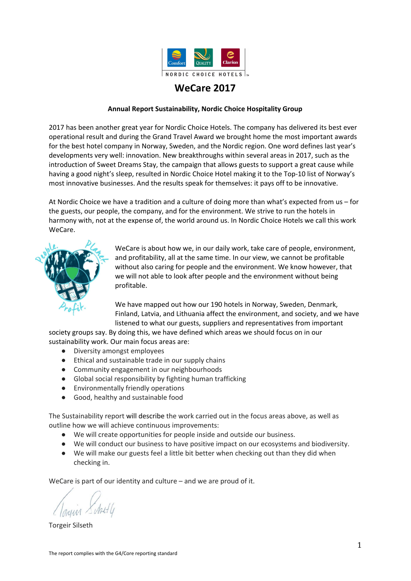Chief Executive Officer **Our obligations**



Nordic Choice Hotels wants to contribute to the realisation of UN's Sustainable Development Targets. We believe innovation, and a new look at commonplace solutions, will play a vital role in this work.

We have highlighted the following areas as particularly relevant for us:



Nordic Choice Hotels supports and respects Global Compact's ten principles for environment, anti-corruption, human rights, and workers' rights.<sup>1</sup>

As a member of the Ethical Trading Initiative, we are committed to respecting Human Rights and Labour Rights in our supply chains and to strengthen the support of fair trade in business life in general.

Nordic Choice Hotels is certified according to environmental standard ISO 14001:2015.

#### **How do we ensure compliance**

- Our board is the driving force in our sustainability work.
- We have shared responsibility to implement measures at all hotels and entities, and we collaborate internally to achieve good results.
- We maintain a dialog with our stakeholders.
- We consult with experts.
- We have established internal notification procedures.
- We work transparently and document our results. We publish an annual report that includes the WeCare efforts.
- We use the report to analyse our work and to set new ambitious goals.

 $1$  This means that we will support, as a minimum: the UN Universal Declaration of Human Rights, the UN International Covenant on Civil and Political Rights and the UN International Covenant on Economic, Social and Cultural Rights, UN's Declaration on the Rights of the Child, and ILO Declaration on Fundamental Principles and Rights at Work from 1998.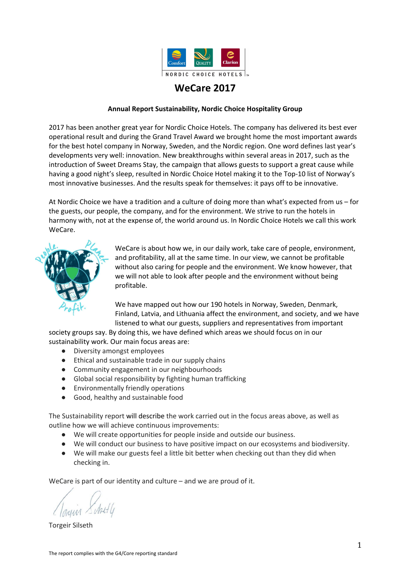## **Our guests are a measure of success – including with respect to sustainability**

Sustainability is important to our guests, and we know it will become even more important in the future. Businesses and organisations with whom we have agreements also emphasise sustainability more often when choosing which hotel chain to align themselves to, and this is highly appreciated by us. We therefore work actively to involve both customers and guests in our sustainability work. We are open and honest in our communication about our work, and it must be simple to contribute and provide feedback on how we can improve.

| Our goal            | We will make our guests feel a little bit better when checking out than<br>they did when checking in                                                                                                                                                                                                                                                                                                                                                                                           |
|---------------------|------------------------------------------------------------------------------------------------------------------------------------------------------------------------------------------------------------------------------------------------------------------------------------------------------------------------------------------------------------------------------------------------------------------------------------------------------------------------------------------------|
| Why it is important | Our guests should be able to make up their own mind about our work, and<br>give us feedback so we can improve. For guests wanting to contribute to<br>our ongoing work, we should create solutions to make this option easily<br>available.                                                                                                                                                                                                                                                    |
| What we do          | All chains and all hotels shall, through their activities, campaigns, and<br>information, involve and tell guests about our WeCare work. Some<br>examples:                                                                                                                                                                                                                                                                                                                                     |
|                     | <b>WeCare Index</b><br>In 2017 we developed a WeCare Index that gives each hotel a sustainability<br>score based on the results from selected sustainability aspects. Both having<br>established the index and the index being enclosed to the financial reports,<br>ensures an increased focus and greater integration of sustainability work.                                                                                                                                                |
|                     | <b>Sweet Dreams stay</b><br>NCH introduced the Clarion "Green Stay" initiative at all its chain hotels in<br>2017. The concept was further advanced and became the "Sweet Dreams<br>Stay", as part of the UNICEF project "Sweet Dreams", which gives guests<br>who stay more than one night the opportunity to forego room cleaning.<br>The solution is more environmentally friendly, and the hotel donates<br>money to UNICEF for every foregone room cleaning.                              |
|                     | Fairtrade "Fika" for 130 000<br>Every year, Nordic Choice Hotels takes part in Fairtrade's event "Fairtrade"<br>Challenge". The hotels hand out free organic Fairtrade coffee to guests and<br>passers-by, and create attention in social media. The most successful hotel<br>is invited on a trip to Honduras with our coffee supplier Løfbergs Lila, to<br>visit our coffee farmers. In 2017, we served free coffee to 130 000 people<br>during a few hours, as part of Fairtrade Challenge. |
|                     | <b>MSC and ASC certification</b><br>In 2015, Yasuragi was the first hotel and the first sushi restaurant in<br>Sweden to be certified for MSC and ASC, and in 2016, these certifications<br>also included all Clarion hotels in Sweden. In addition, in 2017 these<br>certifications further included all hotels with restaurants in both Norway<br>and Sweden. In Sweden, this meant that more than 90% of all salmon<br>bought was ASC certified.                                            |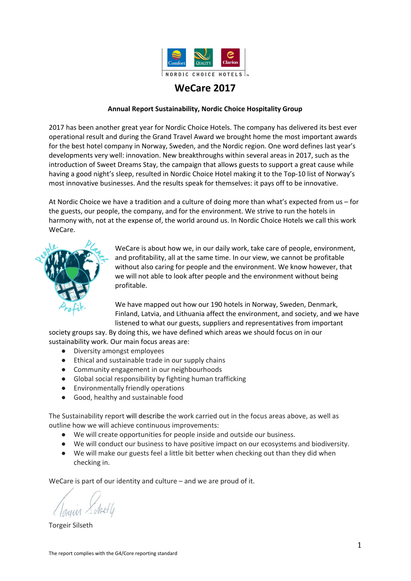As part of the Sustainable Brand Index 2018 (showing results for 2017), Nordic Choice Hotels was named best on sustainability issues within the travel industry. Nordic Choice Hotels was ranked number 10 among Norway's most sustainable brands this year, independent of industry. In Sweden, we moved forward no fewer than 15 spots, to number 28. Sustainable Brand Index is Scandinavia's biggest survey of businesses and sustainability. The survey is conducted annually and covers the largest companies in Sweden, Denmark, Finland, and Norway. In total, 24 000 consumers contributed to the evaluation.

## **Responsible operations**

 $\overline{a}$ 

| Our goal            | Our business must be operated free of bribery and corruption                                   |
|---------------------|------------------------------------------------------------------------------------------------|
| Why it is important | Corruption is a crime and damages trust in the businesses involved.                            |
| What we do          | We have our own guidelines for employees and suppliers, focusing on<br>bribery and corruption. |
| Our results         | Results, legally enforceable verdicts (G4-SOS):<br>No legally enforceable verdicts in 2017.    |

| Our goal            | Guests as well as employees should feel safe, knowing that we have<br>robust procedures in place for secure and responsible handling of<br>personal data    |
|---------------------|-------------------------------------------------------------------------------------------------------------------------------------------------------------|
| Why it is important | Protection of privacy is a human right. Each individual has the right to<br>decide how their personal data should be used and disclosed.                    |
| What we do          | Our work to ensure we comply with EU's new General Data Protection<br>Regulation, GDPR (2018) had much focus in 2017.                                       |
| Our results         | Results, complaints, breaches of personal data regulations (G4-PR8):<br>No complaints about breaches of personal data regulations were received<br>in 2017. |

| Our target          | We shall have good procedures in place to handle both internal and<br>external whistle blowers.                                                                                                                                                                                                                                                                                                                                             |
|---------------------|---------------------------------------------------------------------------------------------------------------------------------------------------------------------------------------------------------------------------------------------------------------------------------------------------------------------------------------------------------------------------------------------------------------------------------------------|
| Why it is important | A good whistle blower process will enable us to solve issues at an early<br>stage if improper behaviour is revealed.                                                                                                                                                                                                                                                                                                                        |
| What we do          | We have ethical guidelines for employees and suppliers, focusing on our<br>whistle blower procedures and why whistle blowing is important.<br>In 2017, we implemented a new whistle blower tool for employees and<br>external partners (e.g. suppliers and guests). The whistle blower feature is<br>accessible for everyone on our website.<br>https://www.nordicchoicehotels.no/samfunnsansvar1/etiske-retningslinjer<br>/varslingskanal/ |
| Our results         | 2 whistle blowing warnings were received in 2017                                                                                                                                                                                                                                                                                                                                                                                            |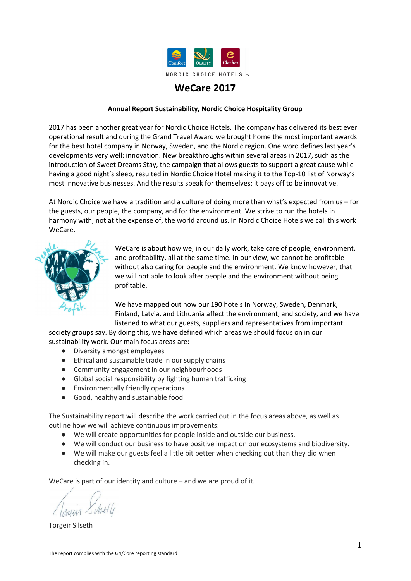## **Our focus areas**

## A hotel company with a warm heart

We create opportunities for people in and outside our business. Our employees are our most important asset. The most relevant UN sustainability targets affected by this work are:



| Our goal            | We want our employees to thrive and learn new things at work, and<br>there should be good collaboration between managers and employees                                                                                                                               |
|---------------------|----------------------------------------------------------------------------------------------------------------------------------------------------------------------------------------------------------------------------------------------------------------------|
| Why it is important | Happy, competent, and responsible employees is the main reason why<br>our guests return again and again.                                                                                                                                                             |
| What we do          | The employee survey "The Beat" was developed and introduced in 2015<br>and is now conducted twice a year. It shows the employees' job<br>satisfaction.                                                                                                               |
|                     | Culture Club started in 2016, a program to increase happiness and create<br>awareness about the company culture. During 2017, all hotels (except<br>NHR; the independent hotels) have implemented Culture Club. NHR<br>introduced "7 habits" for all their managers. |
|                     | Having our own job website, "Karrieresidene", makes it easier to recruit<br>internally. These were continued in 2017. It makes it easier to comply<br>with our recruitment policy, which includes internal job advertising, which<br>was developed and implemented.  |
|                     | Group trainees were employed for the second time in 2017.                                                                                                                                                                                                            |
| Our results         | Result from the employee survey assessing job satisfaction:                                                                                                                                                                                                          |
|                     | The Beat eNPS 2016: 36.9<br>The Beat eNPS 2017: 46.5<br>Scale -100 to 100. 30 is a good result.                                                                                                                                                                      |
|                     | Result from the employee survey section "employees' experience with<br>and attitude to sustainability":<br>The Beat WeCare 2016: 58.1<br>The Beat WeCare 2017: 63.1                                                                                                  |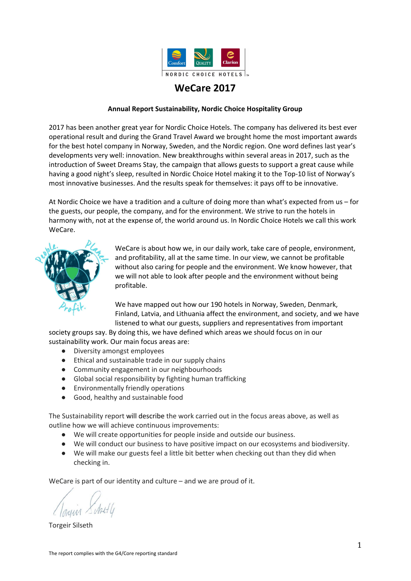| Our goal            | Low sick leave and the lowest possible number of injuries                                                                                                                                                                                                                                                                                                                                                                                                                                                                                                                                          |
|---------------------|----------------------------------------------------------------------------------------------------------------------------------------------------------------------------------------------------------------------------------------------------------------------------------------------------------------------------------------------------------------------------------------------------------------------------------------------------------------------------------------------------------------------------------------------------------------------------------------------------|
| Why is it important | The jobs should not cause bad health to our employees                                                                                                                                                                                                                                                                                                                                                                                                                                                                                                                                              |
| What we do          | #PulsforUNICEF is a project performed every autumn. For each day an<br>employee is physically active (has a higher pulse) for at least half an hour,<br>Nordic Choice gives NOK 15 to UNICEF and our joint Sweet Dreams<br>project. In 2017, NOK 1 MNOK was donated to UNICEF from project<br>#PulsforUNICEF.                                                                                                                                                                                                                                                                                      |
|                     | During 2017 the employee survey The Beat was also further developed to<br>include a study of how the employees perceive a safe and secure work<br>place. The first study will be performed in 2018.                                                                                                                                                                                                                                                                                                                                                                                                |
| Our results         | Results sick leave and injuries (G4-LA6):<br>Sick leave is relatively unchanged since last year. We see a small increase<br>in Finland and Denmark but a positive reduction in other countries.<br>Sick leave 2015: 4.65 % in Norway and 3.69 % in Sweden<br>Sick leave 2016: 4.75 % in Norway and 3.7 % in Sweden<br>Sick leave 2017: 4.90 % in Norway and 3.8 % in Sweden<br>Sick leave within NCH is lower than industry average and total sick leave<br>for respective country.<br>All hotels in Nordic Choice are independent legal entities who report any<br>potential injuries separately. |

| Our goal            | The percentage of female leaders shall be the same as the percentage of<br>female employees                                                                                                                                          |
|---------------------|--------------------------------------------------------------------------------------------------------------------------------------------------------------------------------------------------------------------------------------|
| Why is it important | The hotel industry is a typical female workplace, but traditionally managers<br>have been men.                                                                                                                                       |
| What we do          | We believe the percentage of our female middle managers is on a<br>satisfactory level compared to the percentage of female employees and<br>will not take any specific measures to change this.                                      |
| Our results         | Gender equality statistics (G4-LA12):<br>Percentage female employees across NCH: 63%<br>Percentage female department managers:<br>2015: Norway: 58%. Sweden: 66%<br>2016: Norway: 51%. Sweden: 56%<br>2017: Norway: 64%. Sweden: 68% |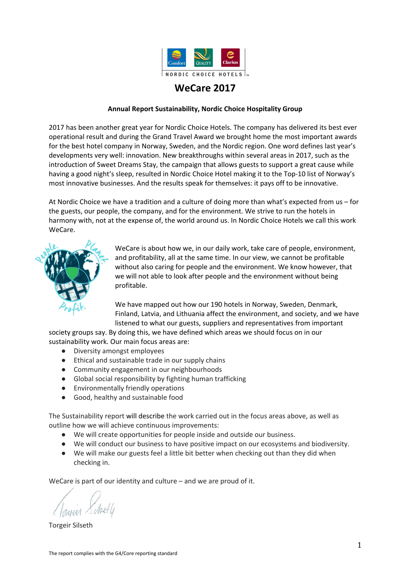| Our goal            | We shall be recognised for staff diversity and increase the percentage of<br>middle managers with non-Scandinavian ethnicity                                                                                                                                                               |
|---------------------|--------------------------------------------------------------------------------------------------------------------------------------------------------------------------------------------------------------------------------------------------------------------------------------------|
| Why it is important | Our guests represent diversity. Diversity among our employees is both a<br>necessity and a competitive advantage.                                                                                                                                                                          |
| What we do          | Diamond Club was launched in 2017 and is a tool to promote internal<br>career opportunities. It has an explicit target to increase the percentage of<br>middle managers with non-Scandinavian ethnicity.                                                                                   |
| Our results         | At the end of 2017, Nordic Choice had more than 14 000 employees spread<br>across 193 nationalities (G4-LA12):<br>Percentage employees with non-Scandinavian ethnicity:<br>2016: 38%<br>2017: 32%<br>Percentage middle managers with non-Scandinavian ethnicity:<br>2016: 11%<br>2017: 15% |

| Our goal            | We shall be an inclusive employer and a preferred partner for<br>organisations within this field                                                                                                                                                                                                                                                                                                           |
|---------------------|------------------------------------------------------------------------------------------------------------------------------------------------------------------------------------------------------------------------------------------------------------------------------------------------------------------------------------------------------------------------------------------------------------|
| Why it is important | With a large number of jobs not requiring skilled education, we have the<br>opportunity to, responsibility for, and pleasure to employ people who<br>otherwise often would be excluded from working life.                                                                                                                                                                                                  |
| What we do          | Cooperation with "Ringer i Vannet" and "Samhall".<br>Offer internships in collaboration with Red Cross for victims of human<br>trafficking.                                                                                                                                                                                                                                                                |
| Our results         | In 2017, more than 800 unemployed people were offered internship in one<br>of Nordic Choice's hotels through the company's collaboration with<br>organisations such as NAV, Arbetsförmedlingen, Samhall. and "Ringer i<br>Vannet". 34% continued to permanent employment after completing the<br>internship.<br>Nordic Choice has also been awarded the prize as Sweden's most<br>LBTQ-friendly workplace. |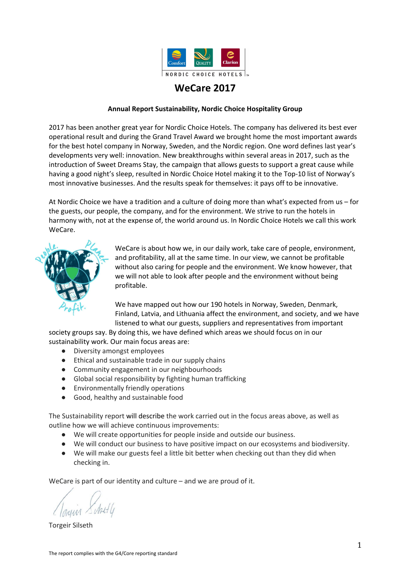# Outside the hotel

Responsibility outside the hotel means that we take responsibility for not only our employees and guests, but also for others. This includes the supplier chain as well as local and global social responsibility. The most relevant UN sustainability targets affected by this work are:



| Our goal            | We care about working conditions in our supply chains, and will<br>contribute to improvements.                                                                                                                                                                                                                                                                                                                                                                                                                                                                                                                                                                                                     |
|---------------------|----------------------------------------------------------------------------------------------------------------------------------------------------------------------------------------------------------------------------------------------------------------------------------------------------------------------------------------------------------------------------------------------------------------------------------------------------------------------------------------------------------------------------------------------------------------------------------------------------------------------------------------------------------------------------------------------------|
| Why it is important | We have more than 200 central suppliers, and approximately one third of<br>what we purchase is food. All our central suppliers have offices in the<br>countries where we operate, while their supply chains cover numerous<br>countries.                                                                                                                                                                                                                                                                                                                                                                                                                                                           |
|                     | It is a well-known problem that working conditions in the supply chains can<br>be very poor. The probability of social dumping and illegal working<br>conditions is significant in several of the industries connected to hotel<br>operations - such as construction work, cleaning services, transport and<br>service industries.                                                                                                                                                                                                                                                                                                                                                                 |
|                     | This means we must demand clear responsibilities and reasonable working<br>conditions both from our suppliers and from their supply chains.                                                                                                                                                                                                                                                                                                                                                                                                                                                                                                                                                        |
| What we do          | Our own Code of Conduct, based on recognised UN and ILO conventions, is<br>included in all our trade agreements.                                                                                                                                                                                                                                                                                                                                                                                                                                                                                                                                                                                   |
|                     | When signing new contracts, we prioritise suppliers who care about<br>responsible working conditions and human rights in their own businesses<br>and those of their suppliers. As a minimum, we exclude suppliers who say<br>they are unable to comply with our ethical guidelines. If the supplier wishes<br>to take various improvement measures in order to meet our requirements,<br>we will then, jointly with the supplier, plan for how we can achieve<br>compliance with our ethical guidelines. Improvement plans can also be<br>made if our suppliers don't have targets and plans in place for their own<br>fair trade work, or lack routines for how to follow up their own suppliers. |
|                     | Our work with suppliers is based on collaborations to achieve continuous<br>improvements. Suppliers not wanting or failing to achieve improvements<br>are not wanted as our business partners.                                                                                                                                                                                                                                                                                                                                                                                                                                                                                                     |
|                     | Since 2014, we have conducted several surveys and supplier courses<br>focused on sustainability. We have then categorised our suppliers<br>according to the risk for breach of our ethical guidelines and sustainable<br>minimum requirements and prepared an action plan for improvement<br>measures for the suppliers. In 2017 we decided to strengthen our                                                                                                                                                                                                                                                                                                                                      |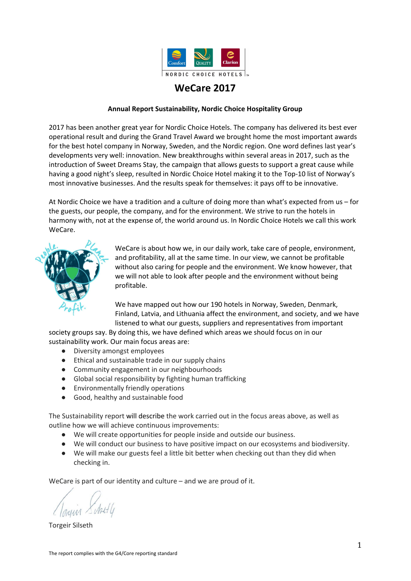|             | competence in this area through consultancy support from the Ethical<br>Trade Initiative (1 bbMbf nxZ{byi aMIXZj - IEH).                                                                                                                                                               |
|-------------|----------------------------------------------------------------------------------------------------------------------------------------------------------------------------------------------------------------------------------------------------------------------------------------|
|             | Monitoring and additional meetings with the suppliers have been and<br>continues to be a part of this work. The action plan is implemented and<br>updated continuously.                                                                                                                |
|             | Our procurement department and the head of procurement within the<br>construction unit participated as a pilot-business in a new training course<br>organised by IEH in 2017.                                                                                                          |
|             | We have been a member of Ethical Trade Initiative (IEH) since 2008.                                                                                                                                                                                                                    |
| Our results | Sustainable trade is a continuous work consisting of steady improvements.<br>We can never say that we have reached our goal, and guarantee that, for<br>example, child labour will not occur in one of our supply chains, but we can<br>guarantee that we are working to prevent this. |
|             | G4-LA14/15; G4-HR10/11: Our report of Ethical Trade Initiative (IEH) for<br>2016 can be downloaded from: www.etiskhandel.no/medlem                                                                                                                                                     |

| Our goal            | We shall contribute to positive changes in the local communities we are<br>part of.                                                                                                                                                                                                                                                                                                                                       |
|---------------------|---------------------------------------------------------------------------------------------------------------------------------------------------------------------------------------------------------------------------------------------------------------------------------------------------------------------------------------------------------------------------------------------------------------------------|
| Why it is important | Our hotels should be good neighbours, and with more than 190 hotels,<br>there are many neighbourhoods where we can make a difference. This is<br>part of our culture.                                                                                                                                                                                                                                                     |
| What we do          | In 2017, we continued our internal WeCare fund, where the hotels can<br>apply for support for their local projects. During the year, more than 20<br>hotels received support from the fund for projects providing more city<br>bikes, concerts and dances for people with disabilities etc.                                                                                                                               |
|                     | Below are more examples of local WeCare projects:                                                                                                                                                                                                                                                                                                                                                                         |
|                     | <b>Lonely Christmas Tree Seeking Presents</b><br>In December every year, our hotels arrange an extensive voluntary<br>campaign called "Lonely Christmas Tree Seeks Presents". In 2017, we<br>collected 80 000 Christmas presents for disadvantaged children and youths<br>in the hotels' own neighbourhoods. Guests are warmly welcome to<br>participate and put a present under the Christmas tree in one of our hotels. |
|                     | For each present collected, Nordic Choice Hotels donates an additional NOK<br>10 to UNICEF's work to protect child victims of human trafficking.                                                                                                                                                                                                                                                                          |
|                     | 100 rooms for awesome people<br>Clarion Grand Hotel Helsingborg arranged "100 rooms for awesome<br>people", where 100 rooms were given to everyday heroes in Helsingborg.<br>The selected people were nominated through social media on the basis of,                                                                                                                                                                     |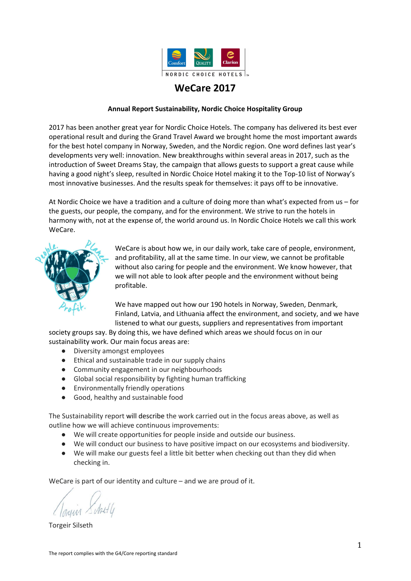|             | for example, their contributions in the local community.                                                                                                                                                                                                                                                                                                                                                                                                                                           |  |
|-------------|----------------------------------------------------------------------------------------------------------------------------------------------------------------------------------------------------------------------------------------------------------------------------------------------------------------------------------------------------------------------------------------------------------------------------------------------------------------------------------------------------|--|
|             | Clean oceans<br>Clarion Hotel Post has, through its enormous commitment to cleaner<br>oceans, invited other organisations, school classes, and the local<br>communities to clean the beaches in Gothenburg and reduce the amount of<br>plastic in the ocean. In addition, they have implemented several measures<br>to increase the awareness and knowledge about plastic and waste in the<br>oceans. The hotel has received great publicity in the media and thereby<br>spread awareness further. |  |
|             | Hope for children<br>For many years, Clarion Collection has raised money, presents and clothes<br>to families in need in the Baltic countries. The project was realised after an<br>initiative from employees with origins in the Baltic.<br>Gala dance at Gardermoen                                                                                                                                                                                                                              |  |
|             | Clarion Hotel & Congress Oslo Airport once again arranged a gala dance for<br>people with special needs, with the dance band Ole Ivars providing music.                                                                                                                                                                                                                                                                                                                                            |  |
| Our results | More than 150 hotels took part in our Christmas campaign "Lonely<br>Christmas Tree Seeks Presents", where more than 80 000 presents were<br>handed out to disadvantaged children in our neighbourhoods.                                                                                                                                                                                                                                                                                            |  |

| Our goal            | We shall take part in the fight against human trafficking.                                                                                                                                                                                                                                                                                                                                                                                                                                                                                                                                      |
|---------------------|-------------------------------------------------------------------------------------------------------------------------------------------------------------------------------------------------------------------------------------------------------------------------------------------------------------------------------------------------------------------------------------------------------------------------------------------------------------------------------------------------------------------------------------------------------------------------------------------------|
| Why it is important | Human trafficking is one of the three biggest illegal industries. The refugee<br>crisis makes human trafficking even more prevalent, even in the countries<br>we operate.                                                                                                                                                                                                                                                                                                                                                                                                                       |
|                     | Human trafficking is among the world's biggest criminal operations and<br>harms more than 1.2 million children every year. Sex tourism and child<br>abuse is an increasing problem, particularly in Southeast Asia. As a<br>responsible operator in the travel industry, we have chosen to contribute in<br>the fight against human trafficking of children in Cambodia.                                                                                                                                                                                                                        |
| What we do          | Nordic Choice is a signature partner to UNICEF and has collaborated with<br>UNICEF since 2008. Since 2012, the collaboration has focused on human<br>trafficking. In 2016, we renewed our agreement with UNICEF and<br>committed ourselves to help even more children victimised by human<br>trafficking. In 2017 we continued the Sweet Dreams project, which involves<br>our employees and guests in UNICEF's work for children affected by human<br>trafficking. For every night a guest stays with us, we contribute to a safe<br>night's sleep for children affected by human trafficking. |
|                     | <b>Involvement of employees</b>                                                                                                                                                                                                                                                                                                                                                                                                                                                                                                                                                                 |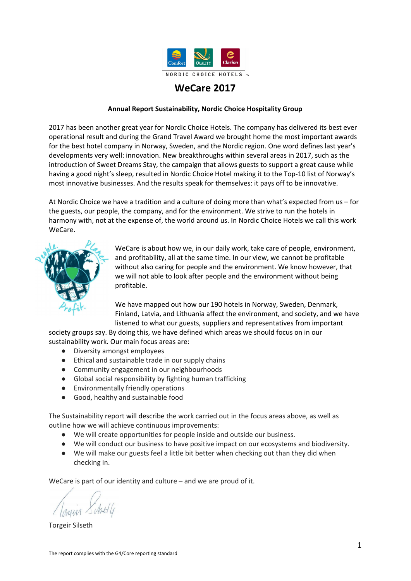| #PulsforUNICEF - four weeks during autumn: for every day an NCH<br>employee is physically active for at least half an hour, we give NOK 10 to<br>UNICEF. More than 4 100 employees participated in 2017.                                                                                                                                                                                                                                                                                                                     |
|------------------------------------------------------------------------------------------------------------------------------------------------------------------------------------------------------------------------------------------------------------------------------------------------------------------------------------------------------------------------------------------------------------------------------------------------------------------------------------------------------------------------------|
| Run for UNICEF: For every employee who takes an active part in the<br>Holmenkollen relay in Oslo as member of an NCH team, NCH donates NOK<br>300 to UNICEF. NOK 110 000 was donated to UNICEF in 2017.                                                                                                                                                                                                                                                                                                                      |
| Field trip: A field trip was organised in 2016 and five of our employees will<br>take part in a field trip to Cambodia in 2018. No field trip was organised in<br>2017.                                                                                                                                                                                                                                                                                                                                                      |
| Christmas presents: Instead of buying Christmas presents for employees,<br>many hotels chose to donate Christmas presents to UNICEF. In 2017, this<br>totalled NOK 400 000. Instead of Easter eggs for employees, we donated<br>150 000 NOK to UNICEF.                                                                                                                                                                                                                                                                       |
| <b>Involvement of guests</b><br>Sweet Dreams Stay: The "Sweet Dreams Stay" concept was implemented in<br>all chain hotels as a part of the UNICEF project "Sweet Dreams". Sweet<br>Dreams Stay allows guests who stay at the hotel for more than one night,<br>to forego cleaning of the room. The solution is environmentally friendly,<br>and the hotel donates money to UNICEF for each foregone cleaning. From<br>the launch in September 2017 until the end of the year, more than 75 000<br>guests elected to do this. |
| Drawings for UNICEF: During the launch of Sweet Dreams Stay, NCH<br>arranged a drawing competition for children. More than 14 000 drawings<br>were collected. NOK 10 was donated to UNICEF for each drawing.                                                                                                                                                                                                                                                                                                                 |
| Christmas campaign: "Lonely Christmas tree seeks presents" collects<br>Christmas presents from guests, employees and others. For each Christmas<br>gift collected, we donate NOK 10 to UNICEF. 80 000 Christmas presents and<br>gift checks where collected to UNICEF in 2017.                                                                                                                                                                                                                                               |
| Members points: Every year, we give our members the opportunity to<br>donate their membership points to UNICEF. In 2017, members donated<br>more than 15 million bonus points which translated to a donation of NOK<br>450 000.                                                                                                                                                                                                                                                                                              |
| Bracelets: In 2017, we sold more than 21 000 bracelets from a women's<br>centre in Cambodia at our reception counters. The centre is supported by<br>UNICEF and helps women exposed to trafficking. The bracelets are made<br>from crumbled paper and the sale resulted in an income to the centre of<br>more than NOK 1.5 million.                                                                                                                                                                                          |
| <b>Emergency response</b>                                                                                                                                                                                                                                                                                                                                                                                                                                                                                                    |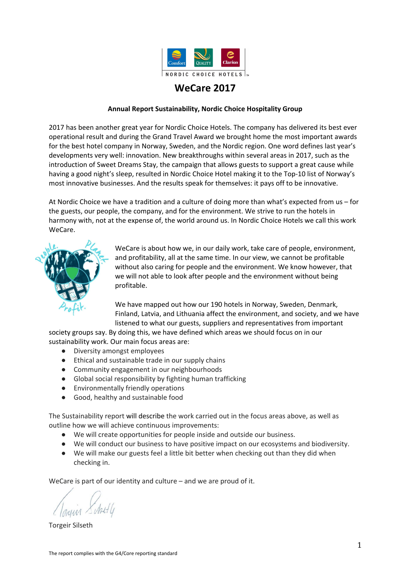|             | We also contribute to UNICEF's humanitarian response activities during<br>major catastrophes. In 2017, we had no individual campaigns in this area.                                                                                                                                                                                      |
|-------------|------------------------------------------------------------------------------------------------------------------------------------------------------------------------------------------------------------------------------------------------------------------------------------------------------------------------------------------|
|             | We have developed guidelines for handling of suspicious prostitution at our<br>hotels, with input from the prostitutes.                                                                                                                                                                                                                  |
|             | In collaboration with Red Cross, we offer internships and work practice for<br>human trafficking victims.                                                                                                                                                                                                                                |
| Our results | In total, Nordic Choice Hotels donated NOK 3 680 000 to UNICEF in 2016.<br>For every night a guest stays with us, we donate to our Sweet Dreams<br>project. In 2017 this resulted in 18.500 safe nights for children. In addition,<br>donations were provided by employees and the company who donated a<br>further 113 000 safe nights. |

## Sustainability in all aspects

We will conduct our business towards a positive impact on our ecosystems and biodiversity. We work systematically to reduce our environmental footprint. The most relevant UN's sustainability targets affected by this work are:



In 2017, we committed to new goals for our sustainability work. The goals stretch to 2021 and shall ensure we maintain our position as an environmentally friendly company.

| Our goal            | All our hotels to be environmentally certified in accordance with<br>ISO 14001                                                                                                                                                                                                                                                                       |
|---------------------|------------------------------------------------------------------------------------------------------------------------------------------------------------------------------------------------------------------------------------------------------------------------------------------------------------------------------------------------------|
| Why it is important | Greenhouse gas emissions, poor use of resources, and pollution<br>threaten our future generations and the globe's biodiversity.                                                                                                                                                                                                                      |
| What we do          | The environmental management system ISO 14001 enables us to<br>focus on the most important environmental aspects for hotels,<br>and on continuous improvements, for which new targets are set<br>every year. In order to securely implement the work at our hotels,<br>we are using a self-designed environmental management tool<br>called Penguin. |
|                     | New standard<br>We redesigned our environmental management system in 2017 in<br>accordance with the updated standard ISO 14001:2015. This<br>means, for example, that much of the already existing<br>sustainability work is reported and documented according to the<br>ISO standard. Further, the hotels and several departments and               |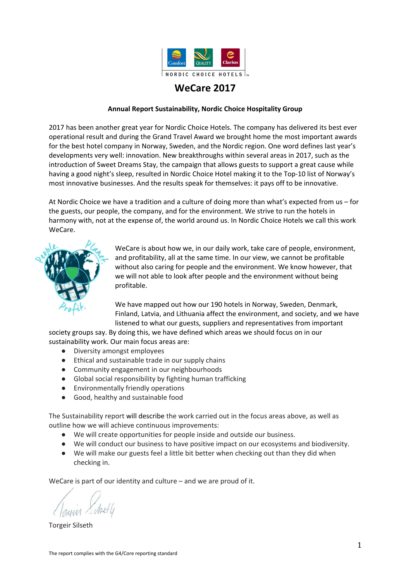|             | functions also conduct discussions with their stakeholders, to<br>ensure the work takes the stakeholders into account.                                                                                                                                                                                                                                                                                                                                                                                                                                                                         |
|-------------|------------------------------------------------------------------------------------------------------------------------------------------------------------------------------------------------------------------------------------------------------------------------------------------------------------------------------------------------------------------------------------------------------------------------------------------------------------------------------------------------------------------------------------------------------------------------------------------------|
|             | <b>Training</b><br>Training of all employees is an important part of our<br>environmental management system. Nordic Choice Hotels has its<br>own training portal.                                                                                                                                                                                                                                                                                                                                                                                                                              |
|             | <b>Environment coordinator</b><br>Every hotel appoints their own environment coordinator, who<br>coordinates, initiates and takes responsibility for implementation<br>of measures at their hotel, including documenting and following<br>up on environmental data. The person responsible for<br>environment issues at the head office travelled to some of the<br>cities in the Nordic region in 2017, called The Penguin Tour.<br>Environment coordinators and managers from all hotels came<br>together to learn about the new version of ISO 14001, and to<br>create commitments thereto. |
|             | <b>Sustainability coaches</b><br>In 2017 and in collaboration with Sustainergies in Sweden and<br>GreenCo in Norway, 60 students in Sweden and 30 students in<br>Norway worked as sustainability coaches at one of our hotels. For<br>one day a month, they supported their hotel with further<br>development and implementation of the hotel's environmental<br>work. The coaches also conduct internal audits of the<br>environment and of organic food at the hotels.                                                                                                                       |
|             | New focus area for sustainability work<br>Ever since we became ISO 14001 certified in 2009, we have<br>worked with five key focus areas or environment aspects: water,<br>waste, chemicals, energy, and transport. "Products" was added as<br>a central focus area in 2017.                                                                                                                                                                                                                                                                                                                    |
| Our results | Nordic Choice Hotels is certified in accordance with the ISO<br>14001:2015 standard.                                                                                                                                                                                                                                                                                                                                                                                                                                                                                                           |
|             | We are proud to be certified according to ISO 14001, and also<br>proud of DNV-GL's comment after their latest audit: "Nordic<br>Choice' leadership is visible, clear, and bold about their<br>sustainability focus."                                                                                                                                                                                                                                                                                                                                                                           |
|             | 4 300 employees completed our sustainability e-learning course in<br>2017, representing 35% of our employees. In addition, many<br>hotels provided plenary sessions of the learning. Participants were<br>not registered. We implemented a new Learning Management<br>System in NCH in 2017, called the Nordic Choice Academy, for<br>better sustainability learning, control, and registration of<br>employees who attended the training. Mandatory environment<br>training will be a part of this training platform.                                                                         |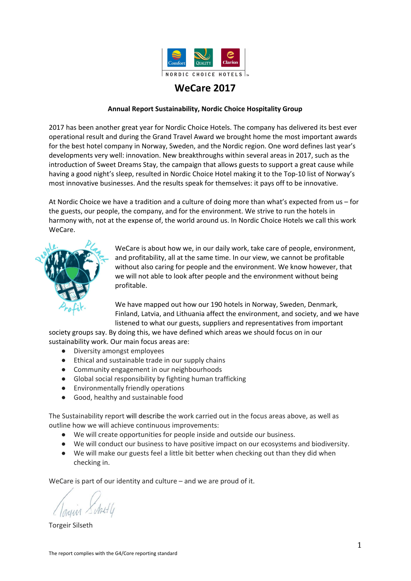| 167 people participated in the training course for environment |
|----------------------------------------------------------------|
| coordinators in 2017.                                          |

| Our goal            | We shall reduce our greenhouse gas emissions                                                                                                                                                                                                                                                    |
|---------------------|-------------------------------------------------------------------------------------------------------------------------------------------------------------------------------------------------------------------------------------------------------------------------------------------------|
| Why it is important | Greenhouse gases cause global warming. To preserve the Earth<br>the way as we know it, greenhouse gas emissions must be<br>reduced.                                                                                                                                                             |
| What we do          | Reduction of our greenhouse gas emissions is a consequence of<br>other measures NCH implements as part of our environmental<br>work.                                                                                                                                                            |
| Our results         | Greenhouse gas emissions, scope 1, 2 and parts of 3. (G4-EN15<br>and G4-EN18)<br>We have reduced our CO2-emissions per guest night by almost<br>20% since 2012.<br>CO2-emissions per guest night:<br>2016: 2.65 kg<br>2017: 2.64 kg<br>Total emissions:<br>2016: 25 500 ton<br>2017: 22 304 ton |

| Our goal            | We shall do waste sorting and thus facilitate recycling                                                                                                                                                                                                                                                                                                                                                                                                         |
|---------------------|-----------------------------------------------------------------------------------------------------------------------------------------------------------------------------------------------------------------------------------------------------------------------------------------------------------------------------------------------------------------------------------------------------------------------------------------------------------------|
| Why it is important | Waste sorting contributes to a higher proportion of recycling, and<br>better utilisation of waste resources.                                                                                                                                                                                                                                                                                                                                                    |
| What we do          | A central agreement was signed with Suez in 2017 regarding<br>waste management in Sweden. This will result in a more uniform<br>and accurate reporting of waste quantities and sorting rates. The<br>hotels work continuously to improve sorting routines and<br>solutions.                                                                                                                                                                                     |
| Our results         | Waste volumes based on our largest waste groups (G4-EN23):<br>Residual waste: 39%<br>Wet organic waste: 29%<br>Cardboard/paper: 10%<br>Glass/metal: 11%<br>Fatty acids from grease separators: 5.6%<br>Hazardous waste: 0.15 %<br>The distribution is obtained from Norway, as Swedish number are<br>not available. The distribution is presumably also representative<br>of Sweden.<br>We have reduced the residual waste volumes by nearly 50% since<br>2008. |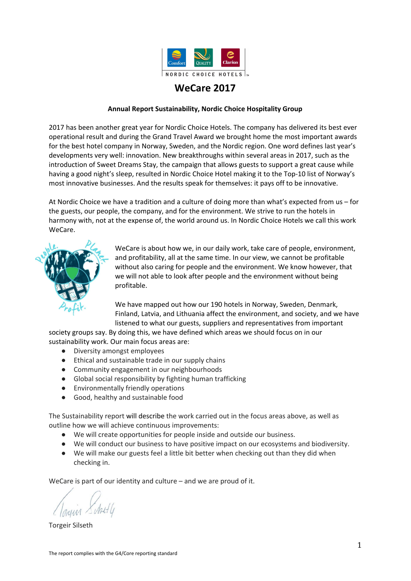| $2015:0.6$ kg/guest night<br>2016: 0.5 kg/ guest night                                       |
|----------------------------------------------------------------------------------------------|
| 2017: 0.5 kg/ guest night<br>Target 2017: Reduce with 15% from 2015. Result: 11.7% reduction |

| Our goal              | We shall reduce our energy consumption per $m3$                                                                                                                                                                                                                                                                                                                              |
|-----------------------|------------------------------------------------------------------------------------------------------------------------------------------------------------------------------------------------------------------------------------------------------------------------------------------------------------------------------------------------------------------------------|
| Why it is important   | About 75 percent of the world's energy consumption comes from<br>the energy sources oil, coal and natural gas, which, contribute<br>strongly to the world's greenhouse gas emissions.                                                                                                                                                                                        |
| What we do            | The replacement of incandescent light bulbs and halogen bulbs<br>with LED bulbs has continued in 2017.<br>Our Mestro measuring tool automatically collects energy<br>consumption numbers for most hotels, while some still have to<br>report manually. Number of guest nights are also reported in<br>Mestro, meaning the hotel can relate the consumption to<br>production. |
| What have we achieved | Energy intensity - use per Sq m (G4-EN5):<br>2016: 216,2 kWh/m2<br>2017: 210 kWh/m2<br>Reduction: 3%                                                                                                                                                                                                                                                                         |

| Our goal              | All our hotels shall use renewable energy - where possible                                                                                                                                                                       |
|-----------------------|----------------------------------------------------------------------------------------------------------------------------------------------------------------------------------------------------------------------------------|
| Why it is important   | Fossil energy and other non-renewable energy sources have huge<br>negative impacts on greenhouse gas emissions.                                                                                                                  |
| What we do            | We have bought renewable source guarantees from Ishavskraft<br>since 2007. We have continuously replaced previous energy<br>sources with renewable energy when that option is available to<br>us.                                |
| What we have achieved | Percentage of hotels using renewable energy sources:<br>2016: 81%<br>2017: 70%<br>The results drops as several of our new hotels are located in a<br>larger building where we cannot impact the choice of electricity<br>source. |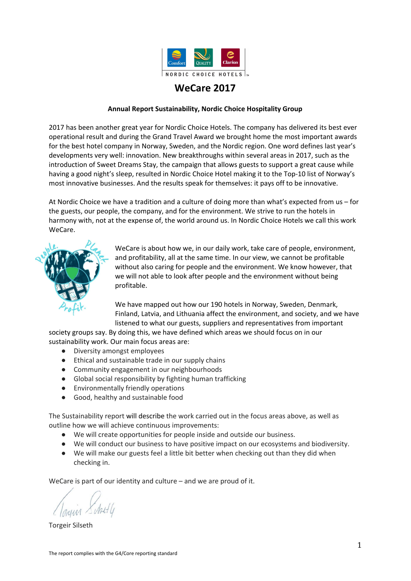| Our goal              | We shall minimise the number of transports                                                                                                                                                                                                                                                                                                                                                                                                                                                                                                                                                                                                          |
|-----------------------|-----------------------------------------------------------------------------------------------------------------------------------------------------------------------------------------------------------------------------------------------------------------------------------------------------------------------------------------------------------------------------------------------------------------------------------------------------------------------------------------------------------------------------------------------------------------------------------------------------------------------------------------------------|
| Why it is important   | Transports cause greenhouse gas emissions.                                                                                                                                                                                                                                                                                                                                                                                                                                                                                                                                                                                                          |
| What we do            | Our hotels continually work to reduce the number of transports to<br>and from the hotels, including reducing the number of orders<br>through improved ordering processes. Introducing the purchasing<br>Menybank planning tool has simplified this work. Several suppliers<br>also coordinate transports to reduce the number of deliveries.<br>The hotels have started to use ultra clean water and ozone water<br>as a replacement for cleaning chemicals, which means there is less<br>transportation of chemicals to the hotels.<br>Our Sweet Dreams concept leads to less use of textiles, which in<br>turn leads to fewer laundry transports. |
| What we have achieved | Mapping and monitoring of transports is currently being audited<br>to make it possible to measure transportation emissions rather<br>than number of deliveries.<br>2016: Average 1267 transports per hotel<br>2017: Average 1244 transports per hotel<br>Change: -1.8 %                                                                                                                                                                                                                                                                                                                                                                             |

| Our goal              | We shall reduce our use of chemicals                                                                                                                                                                                                                                                                                                                                                                                                                                                                                                                     |
|-----------------------|----------------------------------------------------------------------------------------------------------------------------------------------------------------------------------------------------------------------------------------------------------------------------------------------------------------------------------------------------------------------------------------------------------------------------------------------------------------------------------------------------------------------------------------------------------|
| Why it is important   | Chemicals can be harmful to animals, humans and the<br>environment.                                                                                                                                                                                                                                                                                                                                                                                                                                                                                      |
| What we do            | All chemicals we use are categorised red, yellow or green<br>(=environmentally friendly) and recorded in a central substance<br>register. The hotels continually work to reduce the use of red and<br>yellow chemicals. We continuously collaborate with our suppliers<br>to find more environmentally friendly products and methods.<br>Several hotels in Norway and Sweden have now introduced ultra<br>clean water and ozone water, meaning we don't need to use<br>cleaning chemicals which is of benefit for both employees and the<br>environment. |
| What we have achieved | Use of chemicals (total cleaning chemicals):<br>2016: 33 grams/guest night<br>2017: 29 grams/guest night<br>Change: 12%<br>The amount of chemicals used has been reduced by 29% since<br>2012.<br>Target 2017: Reduction -40% from 2012. Result: -29%<br>Target 2018: Reduction -31% from 2016.                                                                                                                                                                                                                                                          |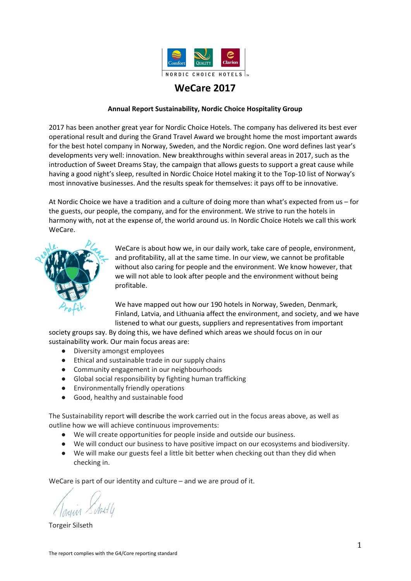| Our goal              | We shall reduce water consumption per guest night                                                                                                                                                                                                                                                       |
|-----------------------|---------------------------------------------------------------------------------------------------------------------------------------------------------------------------------------------------------------------------------------------------------------------------------------------------------|
| Why it is important   | Access to clean water is a major global challenge. In the Nordic<br>region, we aim to reduce water consumption, partly to reduce<br>energy consumption related to heating, and partly to reduce the<br>use of chemicals in water treatment processes.                                                   |
| What we do            | A water saving competition was held in 2017 among all hotels.<br>The winning idea was to install water saving basin taps, which can<br>save up to 98% of water consumption in basins. The taps will be<br>tested in 2018/2019 to ensure they will function properly in our<br>hotels.                   |
| What we have achieved | Water consumption per source (from council water source for all<br>hotels) (G4-EN8<br>2015: 221.1 litres/guest night<br>2016: 216.0 litres/guest night<br>2017: 203 litres/guest night<br>Target 2017: Reduction -20% from 2012. Result: -14%<br>Target 2018: Reduction -18% from 2012 (revised target) |

| Our goal              | We impose environmental demands on our suppliers                                                                                                                                                                                                                                                                                                                                                                                                                                                                                                                     |
|-----------------------|----------------------------------------------------------------------------------------------------------------------------------------------------------------------------------------------------------------------------------------------------------------------------------------------------------------------------------------------------------------------------------------------------------------------------------------------------------------------------------------------------------------------------------------------------------------------|
| Why it is important   | To achieve good outcomes with our environment efforts, we<br>depend on good collaborations with our suppliers.                                                                                                                                                                                                                                                                                                                                                                                                                                                       |
| What we do            | We have introduced sustainable minimum requirements<br>regarding responsible working conditions and environments from<br>all our suppliers. All new suppliers are assessed based on those<br>minimum requirements.<br>We have ethical guidelines (CoC) in place for our suppliers, which<br>also include environmental requirements.                                                                                                                                                                                                                                 |
| What we have achieved | All trade agreements with central suppliers include specific<br>environmental requirements based on our sustainable minimum<br>requirements and CoC for suppliers.<br>G4-EN32: Screening of new suppliers, environment: All suppliers<br>are assessed based on some degree of environmental<br>requirements.<br>G4-EN33 (management system): Monitoring of existing suppliers,<br>environment: We have an action plan for existing, central<br>suppliers, based on our own assessment of the suppliers' efforts<br>within environmental and social responsibilities. |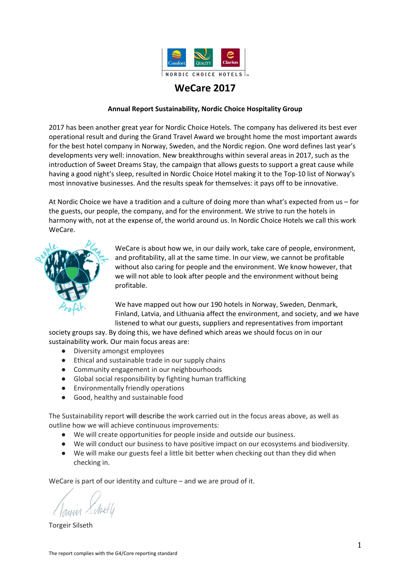We shall serve good, healthy and sustainable food. The most relevant UN's sustainability targets affected by this work are:



Nordic Choice Hotels is the first MSC- and ASC-certified hotel chain in the Nordic region. Our hotels are ISO 14001 certified, and certified for organic requirements according to KRAV in Sweden and Debio in Norway (Ø marked).

| Our goal              | All our hotels shall serve good, healthy and sustainable food,<br>based on Nordic Choice Hotels' food platform                                                                                                                                                                                                                                                                                                                                                                                                                                                             |
|-----------------------|----------------------------------------------------------------------------------------------------------------------------------------------------------------------------------------------------------------------------------------------------------------------------------------------------------------------------------------------------------------------------------------------------------------------------------------------------------------------------------------------------------------------------------------------------------------------------|
| Why it is important   | Food production is the single biggest cause of deforestation,<br>loss of biodiversity and destruction of the oceans. 30 percent of<br>all greenhouse gas emissions are related to food.<br>Research shows that food intake with a high share of<br>vegetables, berries and fruits, grain products and fish, can<br>prevent bad health and illness.                                                                                                                                                                                                                         |
| What we do            | We established a food platform already in 2012, describing our<br>guidelines and food focus areas for all our hotels:<br>Less food waste<br>$\bullet$<br>Less red meat, more fruit and vegetables<br>Increased amount of ecologically produced food<br>$\bullet$<br>Sustainable fish and seafood<br>$\bullet$<br>No red-listed animal species<br>$\bullet$<br>Only sustainably produced palm oils<br>$\bullet$<br>Local produce<br>$\bullet$<br>Certified, fair trade products<br>The food platform is continuously being developed in line with<br>new research findings. |
| What we have achieved | All our chains have food concepts, guidelines and procurement<br>routines in place to ensure compliance with our food platform.<br>See further below.                                                                                                                                                                                                                                                                                                                                                                                                                      |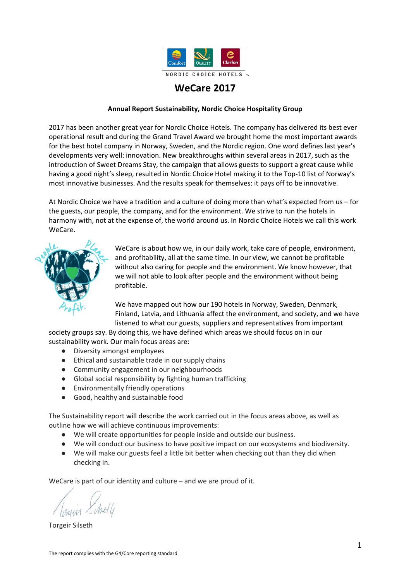| Our goal            | We don't waste food                                                                                                                                                                                                                                                                                                                                                                                                                                                                                                             |
|---------------------|---------------------------------------------------------------------------------------------------------------------------------------------------------------------------------------------------------------------------------------------------------------------------------------------------------------------------------------------------------------------------------------------------------------------------------------------------------------------------------------------------------------------------------|
| Why it is important | About 30 percent of all food produced in the world ends up as<br>food waste.                                                                                                                                                                                                                                                                                                                                                                                                                                                    |
| What we do          | We perform various actions in order to reduce food waste at our<br>hotels - here are some examples:                                                                                                                                                                                                                                                                                                                                                                                                                             |
|                     | Implementation of food waste weights for digital registration<br>A key success factor in the efforts to reduce food waste is simple<br>registration and prompt feedback to the users. To solve this in a<br>cost-effective way, NCH joined Norgesgruppen and Visma to<br>develop suitable weights and digital registration and reporting. A<br>pilot was performed with good results and the roll-out of the<br>solution started at the end of 2017. The solution is available for all<br>food outlets in the Nordic region.    |
|                     | Common measures and registration for all hotels<br>We developed a common WeCare index for all hotels (see page 3)<br>in 2017. This enables simple comparison of results from different<br>hotels and hotel chains. The index also includes food waste.<br>Hotels who do not register their food waste receive an index score<br>of zero.                                                                                                                                                                                        |
|                     | <b>Menu Bank</b><br>We upgraded our Menu Bank in 2017. Menu Bank makes it easier<br>for the hotels to estimate portion sizes and the correct amount of<br>food, leading to less food waste. It also includes recipes for<br>leftover food.                                                                                                                                                                                                                                                                                      |
|                     | <b>Courses</b><br>In collaboration with our suppliers, we arranged several courses in<br>produce handling and how to create new dishes from leftover<br>food.                                                                                                                                                                                                                                                                                                                                                                   |
|                     | Reduce food waste - "Kutt Matsvinn" 2020<br>We are collaborating with other players in the restaurant industry,<br>including Scandia, in a campaign called "Kutt Matsvinn 2020",<br>arranged by Matvett. Through this, we are committed to reducing<br>food waste by 20% by year 2020. In 2017 we agreed that a useful<br>indicator for food waste in the restaurant industry is "kg per<br>dining guest". This was introduced as a measure within NCH in<br>2017 (the previous measurement was food waste per guest<br>night). |
|                     | Increased CO2-focus through collaboration with suppliers<br>As part of Norgesgruppen's various sustainability measures, we<br>have, together with selected suppliers, developed tools and<br>communication guidelines to reduce CO2 emissions.                                                                                                                                                                                                                                                                                  |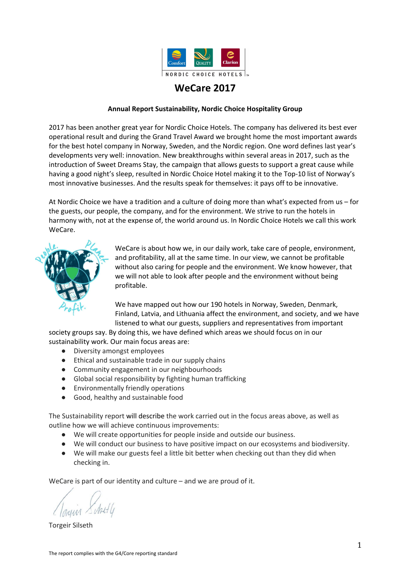|             | <b>TooGoodToGo and Karma</b><br>Several hotels are collaborating with TooGoodToGo in Norway<br>and Karma in Sweden to sell excess food at reduced prices.                                                                                                                                                 |
|-------------|-----------------------------------------------------------------------------------------------------------------------------------------------------------------------------------------------------------------------------------------------------------------------------------------------------------|
| Our results | Total food waste measured per guest night in 2017 resulted in an<br>increase of 2%.                                                                                                                                                                                                                       |
|             | A routine and system for data collection was implemented in 2017<br>for the measure "food waste per dining guest", which thus also<br>included conference guests and lunch and dinner guests. This<br>provides a more accurate measure of all food served, not just<br>selected meals or selected guests. |

| Our goal            | We shall serve less red meat, and increase the consumption of<br>fruit and vegetables                                                                                                                                                                                                                                                                                                                                                                                                                                                                                                                                                                                        |
|---------------------|------------------------------------------------------------------------------------------------------------------------------------------------------------------------------------------------------------------------------------------------------------------------------------------------------------------------------------------------------------------------------------------------------------------------------------------------------------------------------------------------------------------------------------------------------------------------------------------------------------------------------------------------------------------------------|
| Why it is important | For the benefit of both human health and the environment, we<br>should eat more fruit and vegetables, and less meat. 15 percent<br>of global greenhouse gas emissions comes from meat<br>production. On average, we eat more than twice as much red<br>meat and processed meat products than recommended by<br>health authorities.                                                                                                                                                                                                                                                                                                                                           |
| What we do          | All chains have created and implemented food concepts which<br>contribute to less meat consumption, and an increase in fruit<br>and vegetables consumption. Our purchasing department has<br>provided better purchasing tools, and our suppliers contribute<br>with innovative products and services. Additionally, we have<br>carried out other initiatives - here are some examples:                                                                                                                                                                                                                                                                                       |
|                     | <b>Menu Bank</b><br>We have created a menu bank where all hotels can search for<br>healthy recipes with more fruit and vegetables and less red<br>meat.                                                                                                                                                                                                                                                                                                                                                                                                                                                                                                                      |
|                     | <b>Kitchen &amp; Table</b><br>Several initiatives were implemented in 2017 under Clarion's<br>"Kitchen & Table" concept. The reduction of red meat<br>continued. Clarion has reduced red meat by 29 ton since<br>January 2015. Close to 60% of all seafood served at Swedish<br>Clarion hotels in 2017 was certified. 90% of all salmon is ASC<br>certified. A new breakfast concept - A great start - was<br>introduced, focusing on fruit and vegetables. Other initiatives<br>include "Table sharing buffet" for smaller conference groups, as<br>well as a new lunch buffet standard, in which we serve a<br>maximum of 140-gram protein and the rest greens. All hotels |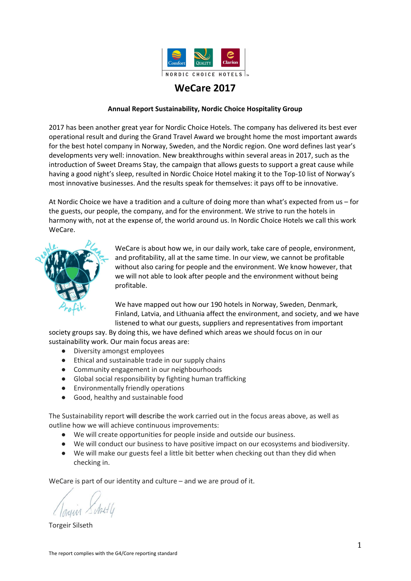|                       | have been given targets with monthly reporting and specific<br>reduction targets.<br><b>Seasons</b><br>Introduction of a new lunch concept with focus on the flavours<br>of seasonal ingredients.                                                                                                              |
|-----------------------|----------------------------------------------------------------------------------------------------------------------------------------------------------------------------------------------------------------------------------------------------------------------------------------------------------------|
|                       | <b>Brasserie X</b><br>The Quality food concept focuses on three areas. Use<br>Seasons-dishes at Signturer, better selection of vegetarian<br>meals and start measuring greenhouse gas emissions from the<br>brasserie meals, and use this to communicate with the guests<br>through menu design / nudging etc. |
|                       | "Nudging"<br>We "nudge" at the buffets to encourage guests to eat healthier<br>- more vegetables and less meat. By placing fish and vegetables<br>in front of the meat at the buffet, we reduced meat<br>consumption by 10% and increased the consumption of salads<br>by 25%.                                 |
|                       | <b>Banquets and booked lunches</b><br>We more rarely serve red meat at banquets and booked<br>lunches, as we now are more able to control the food choices.                                                                                                                                                    |
|                       | <b>Meatballs + Greens</b><br>In 2016, together with Jæder and other suppliers in Norway we<br>created a meatball recipe with 1/3 vegetables, less salt and fat.<br>This took off commercially in 2017 and we bought more than<br>1100 kg of these meatballs.                                                   |
| What have we achieved | Estimating the total amount of meat and fruit/vegetables<br>served at our hotels, will require better statistics from our<br>suppliers than currently available.                                                                                                                                               |

| Our goal            | We shall offer a good selection of organic products                                                                                                                                                                                                 |
|---------------------|-----------------------------------------------------------------------------------------------------------------------------------------------------------------------------------------------------------------------------------------------------|
| Why it is important | Organic food is grown without using pesticides and fertilizers, and<br>with a minimum use of additives. In addition, there are strict<br>regulations for livestock farming, and the animals should live in<br>accordance with their unique habitat. |
| What we do          | We are certified in Norway by Debio, in Sweden by KRAV. We<br>work systematically to find good organic alternatives and expand<br>the selection to include more food groups.                                                                        |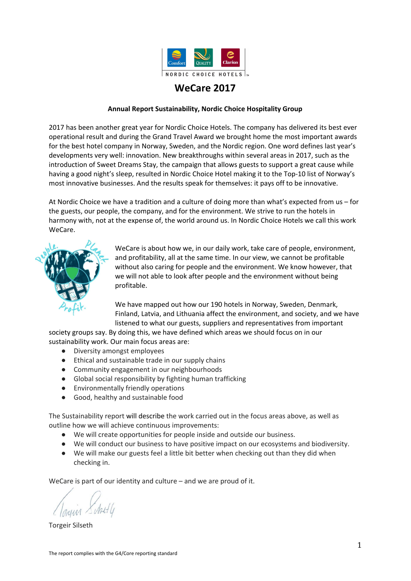| What we have achieved | All our hotels have a minimum selection of organic food,<br>including, eggs and coffee.  |
|-----------------------|------------------------------------------------------------------------------------------|
|                       | In 2017, our hotels served more than 3 400 cups of organic<br>Fairtrade coffee per hour. |
|                       | During 2017, we served more than 10 million organic eggs.                                |
|                       | Most hotels offer complete organic menus to guests who so<br>prefer.                     |

| Our goal              | We shall only serve sustainable, certified seafood                                                                                                                                                                                                                                                                                                                                                                           |
|-----------------------|------------------------------------------------------------------------------------------------------------------------------------------------------------------------------------------------------------------------------------------------------------------------------------------------------------------------------------------------------------------------------------------------------------------------------|
| Why it is important   | Ocean life is an important resource, and we must manage it<br>responsibly.                                                                                                                                                                                                                                                                                                                                                   |
| What we do            | We work actively to increase our share of certified sustainable<br>seafood, in addition to certifying our restaurants according to<br>standards from Marine Stewardship Council's (MSC, a certification<br>body for sustainable wild caught fish) and Aquaculture<br>Stewardship Council (ASC, a certification body for farmed fish and<br>other seafood). Both schemes will secure sustainable<br>management of the oceans. |
| What we have achieved | We are MSC and ASC certified in both Norway and Sweden.<br>Sweden: More than 50% of all seafood we purchase is certified.<br>More than 90% of all salmon we buy is ASC certified.<br>Norway: 10% of the seafood we buy is certified.                                                                                                                                                                                         |

| Our goal              | We do not serve foods in danger of extinction, that cause harm<br>to the environment, or are associated with poor animal welfare                                                                                                                                                                                                                                                                                 |
|-----------------------|------------------------------------------------------------------------------------------------------------------------------------------------------------------------------------------------------------------------------------------------------------------------------------------------------------------------------------------------------------------------------------------------------------------|
| Why it is important   | Serving any of these foods is against our core values.                                                                                                                                                                                                                                                                                                                                                           |
| What we do            | Based on advice from WWF, the Norwegian and Swedish<br>Biodiversity Information Centre, and the Norwegian Animal<br>Protection Alliance, we have created our own "Red list", which<br>identifies the food products we are not permitted to serve at our<br>hotels: scampi, blue and yellow finned tuna, rose fish, eel, goose<br>liver, and duck liver. The list has now been further developed and<br>expanded. |
| What we have achieved | According to reports from our suppliers, the hotels' own reports<br>and internal audits, our hotels did not serve any of the "red list"<br>species in 2017.                                                                                                                                                                                                                                                      |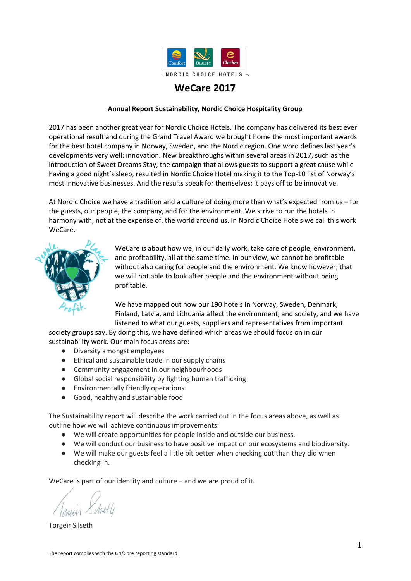| Our goal              | We allow only sustainably produced palm oil.                                                                                                                                                                                                                                                                               |
|-----------------------|----------------------------------------------------------------------------------------------------------------------------------------------------------------------------------------------------------------------------------------------------------------------------------------------------------------------------|
| Why it is important   | Production of palm oil is related to severe environmental damage,<br>and in breech on human rights.                                                                                                                                                                                                                        |
| What we do            | Our requirement is that products containing palm oil must only<br>contain sustainable palm oil certified according to Roundtable's<br>(RSPO) two strictest levels for sustainable palm oil, which means<br>either "preserved" or "segregated".                                                                             |
| What we have achieved | In 2012, we decided to only allow sustainable palm oil. Since none<br>of our suppliers could offer this, we decided to become palm oil<br>free. First at Quality Hotel Fredrikstad and all hotels in our Clarion<br>chain in 2014. Since 2015, we have allowed only sustainably<br>produced palm oil in any of our hotels. |

| <b>EAT</b> |                                                                                                                                            |  |
|------------|--------------------------------------------------------------------------------------------------------------------------------------------|--|
|            | EAT is a foundation working to find sustainable solutions for the way<br>we eat and our global food system in the future, when the world's |  |

growing population is expected to reach 9 billion people. EAT will contribute to collaboration, and encourage politicians, scientists and businesses, to go in the same direction.

EAT arranges conferences, meetings, seminars, etc. and has gained a position as one of the most important global players within food, health, and sustainability within a very short time.

- NCH was part of the initiative behind EAT in 2013, and their first conference was arranged in Stockholm, at Clarion Hotel Sign in 2014.
- Since 2014, NCH has arranged Local EAT Awards, where we select ten regional winners and a first prize winner within food, health and sustainability, in Norway and Sweden. Swedish "Portionen under 10'an" took home the main award in 2017. Norwegian "Soil Stream" was also nominated for the award.
- NCH is EAT's most significant commercial contributor.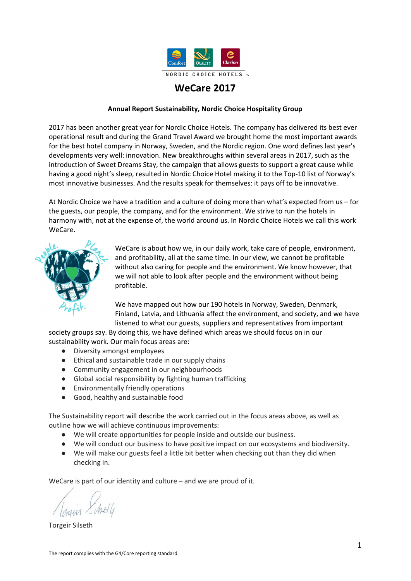Nordic Choice shall serve good, healthy and sustainable food. Acknowledged food certification schemes help us live up to our goals. Below are the certification schemes we are part of:

|            | "KRAV" is the official Swedish<br>marking for organic food, and<br>guarantees that the product is<br>organically grown.                  | FAIRTRAD                                                         | Fairtrade is an international certification<br>system supporting farmers and workers<br>in third world countries, and<br>guaranteeing a minimum price to the<br>grower. |
|------------|------------------------------------------------------------------------------------------------------------------------------------------|------------------------------------------------------------------|-------------------------------------------------------------------------------------------------------------------------------------------------------------------------|
| Debiogodki | The "Ø-mark" by Debio is the<br>official Norwegian marking for<br>organic food, and guarantees that<br>the product is organically grown. | CERTIFIED<br>SUSTAINABLE<br>SEAFOOD<br><b>MSC</b><br>www.msc.org | MSC (Marine Stewardship Council) is a<br>certification system guaranteeing that<br>the seafood origins from sustainable<br>wild caught fish.                            |
|            | "EU organic" is the EU's official<br>marking for organic food, and<br>guarantees that the product is<br>organically grown.               | <b>FARMED</b><br><b>RESPONSIBLY</b><br><b>ERTIFIED</b>           | ASC (Aquaculture Stewardship Council) is<br>a certification system guaranteeing that<br>the seafood origins from sustainable fish<br>farming.                           |
|            | "Luomo" is the official Finnish<br>marking for organic food, and<br>guarantees that the product is<br>organically grown.                 | JE DI SIS<br>DNV-G<br>ISO 1400                                   | ISO 14001 is an environmental<br>certification system.                                                                                                                  |
|            | The " $\phi$ -mark" is the official<br>Danish marking for organic food,<br>and guarantees that the product<br>is organically grown.      |                                                                  |                                                                                                                                                                         |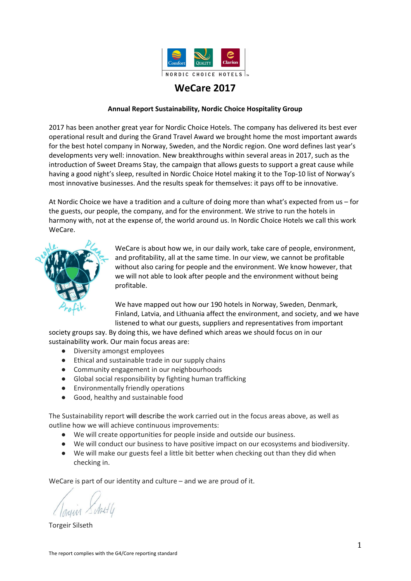| SUSTAINABLE GOALS               | Nordic Choice Hotels wants to contribute to the realisation of UN's<br>Sustainability Targets. We believe innovation and new assessments of<br>commonplace solutions will play a significant role in this work. Here is an<br>overview of our goals:                                                                                                                                                                                                                                                                                                                              |
|---------------------------------|-----------------------------------------------------------------------------------------------------------------------------------------------------------------------------------------------------------------------------------------------------------------------------------------------------------------------------------------------------------------------------------------------------------------------------------------------------------------------------------------------------------------------------------------------------------------------------------|
|                                 | Low sick leave and the lowest possible number of injuries<br>We shall serve less red meat, and increase the consumption of fruit and vegetables                                                                                                                                                                                                                                                                                                                                                                                                                                   |
| <b>REDUCED<br/>INEQUALITIES</b> | We want our employees to thrive and learn new things at work, and there should be good collaboration<br>between managers and employees<br>The percentage of female leaders shall be the same as the percentage of female employees<br>We shall be recognised for our multi-cultural operations<br>We shall be an inclusive employer<br>We care about working conditions in our supply chains, and will contribute to improvements<br>We shall take part in the fight against human trafficking<br>We shall contribute to positive changes in the local communities we are part of |
|                                 | We impose environmental demands on our suppliers<br>We shall not waste food<br>We shall do waste sorting and thus facilitate recycling<br>We shall reduce our use of chemicals                                                                                                                                                                                                                                                                                                                                                                                                    |
| <b>CLIMATE</b><br>Action        | We shall reduce our greenhouse gas emissions<br>We shall reduce our energy consumption per m <sup>3</sup><br>We shall minimise the number of transports                                                                                                                                                                                                                                                                                                                                                                                                                           |

### **Nordic Choice's work from the perspective of the sustainability targets**